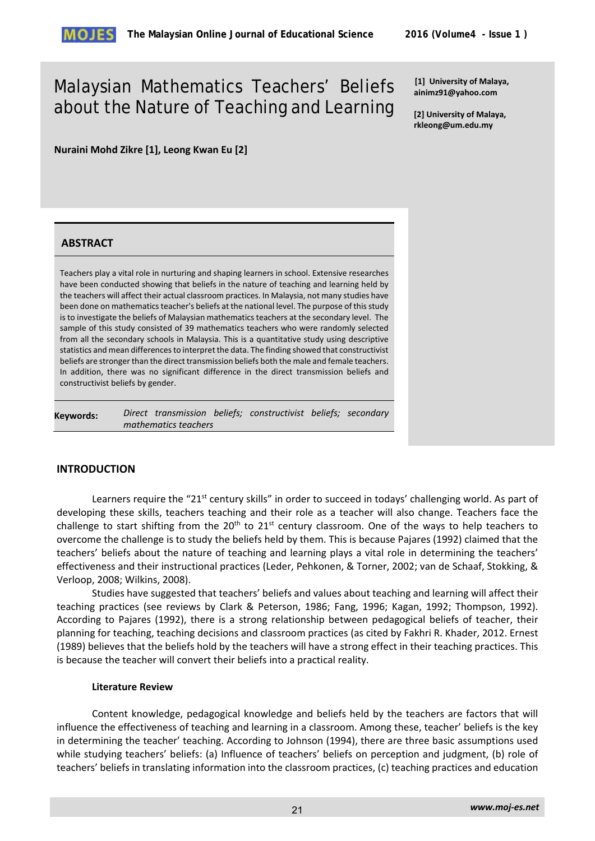# Malaysian Mathematics Teachers' Beliefs about the Nature of Teaching and Learning

**[1] University of Malaya, ainimz91@yahoo.com** 

**[2] University of Malaya, rkleong@um.edu.my** 

**Nuraini Mohd Zikre [1], Leong Kwan Eu [2]** 

# **ABSTRACT**

Teachers play a vital role in nurturing and shaping learners in school. Extensive researches have been conducted showing that beliefs in the nature of teaching and learning held by the teachers will affect their actual classroom practices. In Malaysia, not many studies have been done on mathematics teacher's beliefs at the national level. The purpose of this study is to investigate the beliefs of Malaysian mathematics teachers at the secondary level. The sample of this study consisted of 39 mathematics teachers who were randomly selected from all the secondary schools in Malaysia. This is a quantitative study using descriptive statistics and mean differences to interpret the data. The finding showed that constructivist beliefs are stronger than the direct transmission beliefs both the male and female teachers. In addition, there was no significant difference in the direct transmission beliefs and constructivist beliefs by gender.

**Keywords:** *Direct transmission beliefs; constructivist beliefs; secondary mathematics teachers*

# **INTRODUCTION**

Learners require the "21<sup>st</sup> century skills" in order to succeed in todays' challenging world. As part of developing these skills, teachers teaching and their role as a teacher will also change. Teachers face the challenge to start shifting from the  $20<sup>th</sup>$  to  $21<sup>st</sup>$  century classroom. One of the ways to help teachers to overcome the challenge is to study the beliefs held by them. This is because Pajares (1992) claimed that the teachers' beliefs about the nature of teaching and learning plays a vital role in determining the teachers' effectiveness and their instructional practices (Leder, Pehkonen, & Torner, 2002; van de Schaaf, Stokking, & Verloop, 2008; Wilkins, 2008).

Studies have suggested that teachers' beliefs and values about teaching and learning will affect their teaching practices (see reviews by Clark & Peterson, 1986; Fang, 1996; Kagan, 1992; Thompson, 1992). According to Pajares (1992), there is a strong relationship between pedagogical beliefs of teacher, their planning for teaching, teaching decisions and classroom practices (as cited by Fakhri R. Khader, 2012. Ernest (1989) believes that the beliefs hold by the teachers will have a strong effect in their teaching practices. This is because the teacher will convert their beliefs into a practical reality.

# **Literature Review**

Content knowledge, pedagogical knowledge and beliefs held by the teachers are factors that will influence the effectiveness of teaching and learning in a classroom. Among these, teacher' beliefs is the key in determining the teacher' teaching. According to Johnson (1994), there are three basic assumptions used while studying teachers' beliefs: (a) Influence of teachers' beliefs on perception and judgment, (b) role of teachers' beliefs in translating information into the classroom practices, (c) teaching practices and education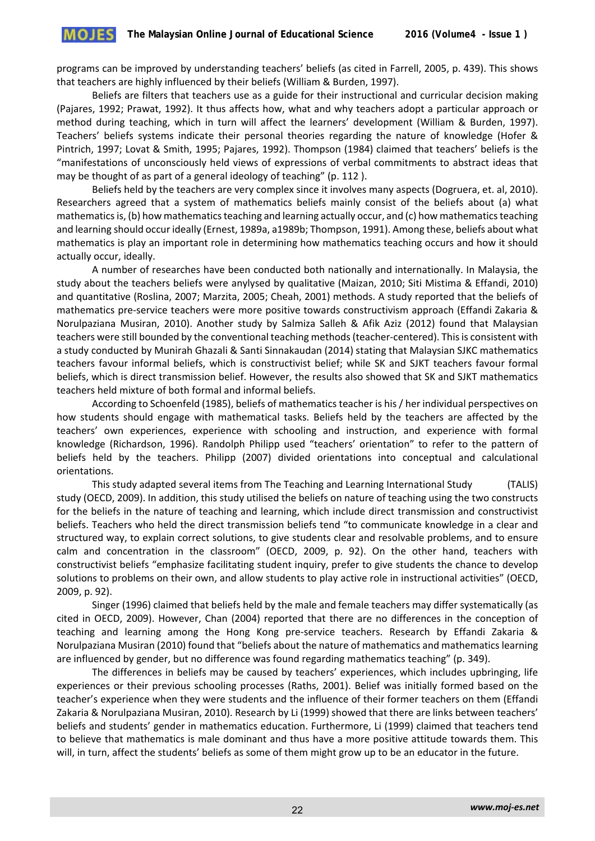programs can be improved by understanding teachers' beliefs (as cited in Farrell, 2005, p. 439). This shows that teachers are highly influenced by their beliefs (William & Burden, 1997).

Beliefs are filters that teachers use as a guide for their instructional and curricular decision making (Pajares, 1992; Prawat, 1992). It thus affects how, what and why teachers adopt a particular approach or method during teaching, which in turn will affect the learners' development (William & Burden, 1997). Teachers' beliefs systems indicate their personal theories regarding the nature of knowledge (Hofer & Pintrich, 1997; Lovat & Smith, 1995; Pajares, 1992). Thompson (1984) claimed that teachers' beliefs is the "manifestations of unconsciously held views of expressions of verbal commitments to abstract ideas that may be thought of as part of a general ideology of teaching" (p. 112 ).

Beliefs held by the teachers are very complex since it involves many aspects (Dogruera, et. al, 2010). Researchers agreed that a system of mathematics beliefs mainly consist of the beliefs about (a) what mathematics is, (b) how mathematics teaching and learning actually occur, and (c) how mathematics teaching and learning should occur ideally (Ernest, 1989a, a1989b; Thompson, 1991). Among these, beliefs about what mathematics is play an important role in determining how mathematics teaching occurs and how it should actually occur, ideally.

A number of researches have been conducted both nationally and internationally. In Malaysia, the study about the teachers beliefs were anylysed by qualitative (Maizan, 2010; Siti Mistima & Effandi, 2010) and quantitative (Roslina, 2007; Marzita, 2005; Cheah, 2001) methods. A study reported that the beliefs of mathematics pre-service teachers were more positive towards constructivism approach (Effandi Zakaria & Norulpaziana Musiran, 2010). Another study by Salmiza Salleh & Afik Aziz (2012) found that Malaysian teachers were still bounded by the conventional teaching methods (teacher-centered). This is consistent with a study conducted by Munirah Ghazali & Santi Sinnakaudan (2014) stating that Malaysian SJKC mathematics teachers favour informal beliefs, which is constructivist belief; while SK and SJKT teachers favour formal beliefs, which is direct transmission belief. However, the results also showed that SK and SJKT mathematics teachers held mixture of both formal and informal beliefs.

According to Schoenfeld (1985), beliefs of mathematics teacher is his / her individual perspectives on how students should engage with mathematical tasks. Beliefs held by the teachers are affected by the teachers' own experiences, experience with schooling and instruction, and experience with formal knowledge (Richardson, 1996). Randolph Philipp used "teachers' orientation" to refer to the pattern of beliefs held by the teachers. Philipp (2007) divided orientations into conceptual and calculational orientations.

This study adapted several items from The Teaching and Learning International Study (TALIS) study (OECD, 2009). In addition, this study utilised the beliefs on nature of teaching using the two constructs for the beliefs in the nature of teaching and learning, which include direct transmission and constructivist beliefs. Teachers who held the direct transmission beliefs tend "to communicate knowledge in a clear and structured way, to explain correct solutions, to give students clear and resolvable problems, and to ensure calm and concentration in the classroom" (OECD, 2009, p. 92). On the other hand, teachers with constructivist beliefs "emphasize facilitating student inquiry, prefer to give students the chance to develop solutions to problems on their own, and allow students to play active role in instructional activities" (OECD, 2009, p. 92).

Singer (1996) claimed that beliefs held by the male and female teachers may differ systematically (as cited in OECD, 2009). However, Chan (2004) reported that there are no differences in the conception of teaching and learning among the Hong Kong pre-service teachers. Research by Effandi Zakaria & Norulpaziana Musiran (2010) found that "beliefs about the nature of mathematics and mathematics learning are influenced by gender, but no difference was found regarding mathematics teaching" (p. 349).

The differences in beliefs may be caused by teachers' experiences, which includes upbringing, life experiences or their previous schooling processes (Raths, 2001). Belief was initially formed based on the teacher's experience when they were students and the influence of their former teachers on them (Effandi Zakaria & Norulpaziana Musiran, 2010). Research by Li (1999) showed that there are links between teachers' beliefs and students' gender in mathematics education. Furthermore, Li (1999) claimed that teachers tend to believe that mathematics is male dominant and thus have a more positive attitude towards them. This will, in turn, affect the students' beliefs as some of them might grow up to be an educator in the future.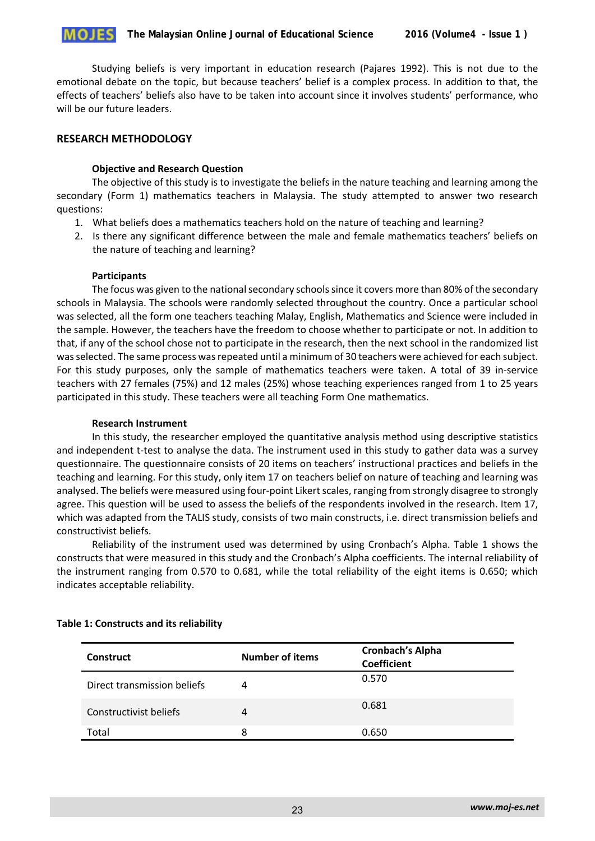Studying beliefs is very important in education research (Pajares 1992). This is not due to the emotional debate on the topic, but because teachers' belief is a complex process. In addition to that, the effects of teachers' beliefs also have to be taken into account since it involves students' performance, who will be our future leaders.

# **RESEARCH METHODOLOGY**

# **Objective and Research Question**

The objective of this study is to investigate the beliefs in the nature teaching and learning among the secondary (Form 1) mathematics teachers in Malaysia. The study attempted to answer two research questions:

- 1. What beliefs does a mathematics teachers hold on the nature of teaching and learning?
- 2. Is there any significant difference between the male and female mathematics teachers' beliefs on the nature of teaching and learning?

# **Participants**

The focus was given to the national secondary schools since it covers more than 80% of the secondary schools in Malaysia. The schools were randomly selected throughout the country. Once a particular school was selected, all the form one teachers teaching Malay, English, Mathematics and Science were included in the sample. However, the teachers have the freedom to choose whether to participate or not. In addition to that, if any of the school chose not to participate in the research, then the next school in the randomized list was selected. The same process was repeated until a minimum of 30 teachers were achieved for each subject. For this study purposes, only the sample of mathematics teachers were taken. A total of 39 in-service teachers with 27 females (75%) and 12 males (25%) whose teaching experiences ranged from 1 to 25 years participated in this study. These teachers were all teaching Form One mathematics.

#### **Research Instrument**

In this study, the researcher employed the quantitative analysis method using descriptive statistics and independent t-test to analyse the data. The instrument used in this study to gather data was a survey questionnaire. The questionnaire consists of 20 items on teachers' instructional practices and beliefs in the teaching and learning. For this study, only item 17 on teachers belief on nature of teaching and learning was analysed. The beliefs were measured using four-point Likert scales, ranging from strongly disagree to strongly agree. This question will be used to assess the beliefs of the respondents involved in the research. Item 17, which was adapted from the TALIS study, consists of two main constructs, i.e. direct transmission beliefs and constructivist beliefs.

Reliability of the instrument used was determined by using Cronbach's Alpha. Table 1 shows the constructs that were measured in this study and the Cronbach's Alpha coefficients. The internal reliability of the instrument ranging from 0.570 to 0.681, while the total reliability of the eight items is 0.650; which indicates acceptable reliability.

| <b>Construct</b>            | <b>Number of items</b> | Cronbach's Alpha<br><b>Coefficient</b> |
|-----------------------------|------------------------|----------------------------------------|
| Direct transmission beliefs |                        | 0.570                                  |
| Constructivist beliefs      | 4                      | 0.681                                  |
| Total                       | 8                      | 0.650                                  |

# **Table 1: Constructs and its reliability**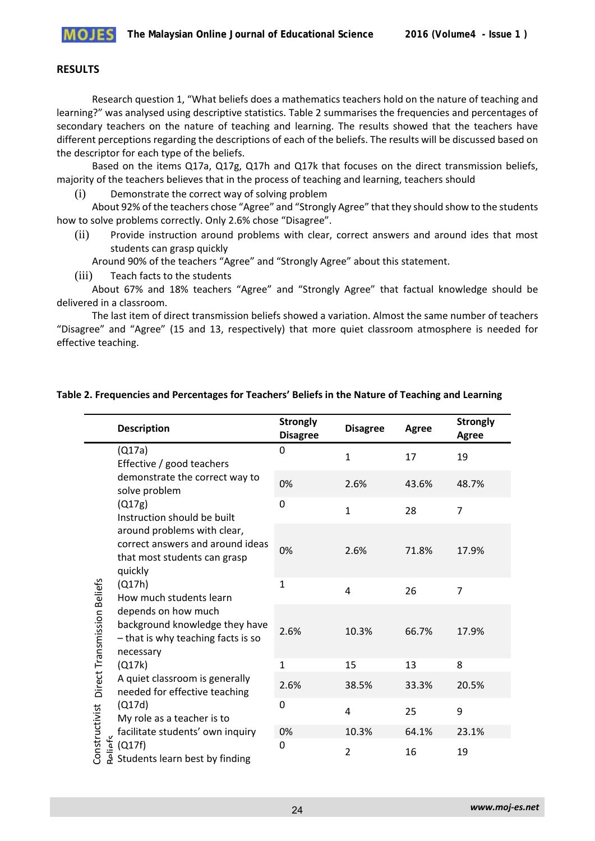

#### **RESULTS**

Research question 1, "What beliefs does a mathematics teachers hold on the nature of teaching and learning?" was analysed using descriptive statistics. Table 2 summarises the frequencies and percentages of secondary teachers on the nature of teaching and learning. The results showed that the teachers have different perceptions regarding the descriptions of each of the beliefs. The results will be discussed based on the descriptor for each type of the beliefs.

Based on the items Q17a, Q17g, Q17h and Q17k that focuses on the direct transmission beliefs, majority of the teachers believes that in the process of teaching and learning, teachers should

(i) Demonstrate the correct way of solving problem

About 92% of the teachers chose "Agree" and "Strongly Agree" that they should show to the students how to solve problems correctly. Only 2.6% chose "Disagree".

(ii) Provide instruction around problems with clear, correct answers and around ides that most students can grasp quickly

Around 90% of the teachers "Agree" and "Strongly Agree" about this statement.

(iii) Teach facts to the students

About 67% and 18% teachers "Agree" and "Strongly Agree" that factual knowledge should be delivered in a classroom.

The last item of direct transmission beliefs showed a variation. Almost the same number of teachers "Disagree" and "Agree" (15 and 13, respectively) that more quiet classroom atmosphere is needed for effective teaching.

|                                                    | <b>Description</b>                                                                                                                                                                                                                                                                                                                                                                                                                                                                                                                                                                                  | <b>Strongly</b><br><b>Disagree</b> | <b>Disagree</b> | Agree | <b>Strongly</b><br>Agree |
|----------------------------------------------------|-----------------------------------------------------------------------------------------------------------------------------------------------------------------------------------------------------------------------------------------------------------------------------------------------------------------------------------------------------------------------------------------------------------------------------------------------------------------------------------------------------------------------------------------------------------------------------------------------------|------------------------------------|-----------------|-------|--------------------------|
| Constructivist Direct Transmission Beliefs<br>iafc | (Q17a)<br>Effective / good teachers<br>demonstrate the correct way to<br>solve problem<br>(Q17g)<br>Instruction should be built<br>around problems with clear,<br>correct answers and around ideas<br>that most students can grasp<br>quickly<br>(Q17h)<br>How much students learn<br>depends on how much<br>background knowledge they have<br>- that is why teaching facts is so<br>necessary<br>(Q17k)<br>A quiet classroom is generally<br>needed for effective teaching<br>(Q17d)<br>My role as a teacher is to<br>facilitate students' own inquiry<br>(Q17f)<br>Students learn best by finding | 0                                  | $\mathbf{1}$    | 17    | 19                       |
|                                                    |                                                                                                                                                                                                                                                                                                                                                                                                                                                                                                                                                                                                     | 0%                                 | 2.6%            | 43.6% | 48.7%                    |
|                                                    |                                                                                                                                                                                                                                                                                                                                                                                                                                                                                                                                                                                                     | 0                                  | $\mathbf{1}$    | 28    | $\overline{7}$           |
|                                                    |                                                                                                                                                                                                                                                                                                                                                                                                                                                                                                                                                                                                     | 0%                                 | 2.6%            | 71.8% | 17.9%                    |
|                                                    |                                                                                                                                                                                                                                                                                                                                                                                                                                                                                                                                                                                                     | $\mathbf{1}$                       | 4               | 26    | $\overline{7}$           |
|                                                    |                                                                                                                                                                                                                                                                                                                                                                                                                                                                                                                                                                                                     | 2.6%                               | 10.3%           | 66.7% | 17.9%                    |
|                                                    |                                                                                                                                                                                                                                                                                                                                                                                                                                                                                                                                                                                                     | $\mathbf{1}$                       | 15              | 13    | 8                        |
|                                                    |                                                                                                                                                                                                                                                                                                                                                                                                                                                                                                                                                                                                     | 2.6%                               | 38.5%           | 33.3% | 20.5%                    |
|                                                    |                                                                                                                                                                                                                                                                                                                                                                                                                                                                                                                                                                                                     | 0                                  | $\overline{a}$  | 25    | 9                        |
|                                                    |                                                                                                                                                                                                                                                                                                                                                                                                                                                                                                                                                                                                     | 0%                                 | 10.3%           | 64.1% | 23.1%                    |
|                                                    |                                                                                                                                                                                                                                                                                                                                                                                                                                                                                                                                                                                                     | $\mathbf{0}$                       | $\overline{2}$  | 16    | 19                       |

# **Table 2. Frequencies and Percentages for Teachers' Beliefs in the Nature of Teaching and Learning**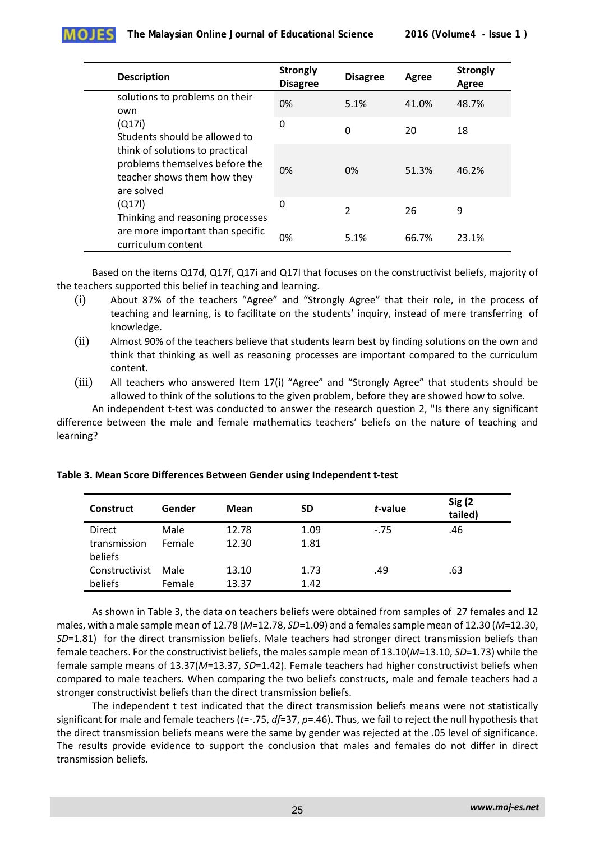|  | <b>Description</b>                                                                                                                                                                                                                                                | <b>Strongly</b><br><b>Disagree</b> | <b>Disagree</b> | Agree | <b>Strongly</b><br>Agree |
|--|-------------------------------------------------------------------------------------------------------------------------------------------------------------------------------------------------------------------------------------------------------------------|------------------------------------|-----------------|-------|--------------------------|
|  | solutions to problems on their<br>own                                                                                                                                                                                                                             | 0%                                 | 5.1%            | 41.0% | 48.7%                    |
|  | (Q17i)<br>Students should be allowed to<br>think of solutions to practical<br>problems themselves before the<br>teacher shows them how they<br>are solved<br>(0171)<br>Thinking and reasoning processes<br>are more important than specific<br>curriculum content | 0                                  | 0               | 20    | 18                       |
|  |                                                                                                                                                                                                                                                                   | 0%                                 | 0%              | 51.3% | 46.2%                    |
|  |                                                                                                                                                                                                                                                                   | 0                                  | $\mathcal{P}$   | 26    | 9                        |
|  |                                                                                                                                                                                                                                                                   | 0%                                 | 5.1%            | 66.7% | 23.1%                    |

Based on the items Q17d, Q17f, Q17i and Q17l that focuses on the constructivist beliefs, majority of the teachers supported this belief in teaching and learning.

- (i) About 87% of the teachers "Agree" and "Strongly Agree" that their role, in the process of teaching and learning, is to facilitate on the students' inquiry, instead of mere transferring of knowledge.
- (ii) Almost 90% of the teachers believe that students learn best by finding solutions on the own and think that thinking as well as reasoning processes are important compared to the curriculum content.
- (iii) All teachers who answered Item 17(i) "Agree" and "Strongly Agree" that students should be allowed to think of the solutions to the given problem, before they are showed how to solve.

An independent t-test was conducted to answer the research question 2, "Is there any significant difference between the male and female mathematics teachers' beliefs on the nature of teaching and learning?

| <b>Construct</b>        | Gender | Mean  | SD   | t-value | Sig(2)<br>tailed) |
|-------------------------|--------|-------|------|---------|-------------------|
| <b>Direct</b>           | Male   | 12.78 | 1.09 | $-75$   | .46               |
| transmission<br>beliefs | Female | 12.30 | 1.81 |         |                   |
| Constructivist          | Male   | 13.10 | 1.73 | .49     | .63               |
| beliefs                 | Female | 13.37 | 1.42 |         |                   |

**Table 3. Mean Score Differences Between Gender using Independent t-test**

As shown in Table 3, the data on teachers beliefs were obtained from samples of 27 females and 12 males, with a male sample mean of 12.78 (*M*=12.78, *SD*=1.09) and a females sample mean of 12.30 (*M*=12.30, *SD*=1.81) for the direct transmission beliefs. Male teachers had stronger direct transmission beliefs than female teachers. For the constructivist beliefs, the males sample mean of 13.10(*M*=13.10, *SD*=1.73) while the female sample means of 13.37(*M*=13.37, *SD*=1.42). Female teachers had higher constructivist beliefs when compared to male teachers. When comparing the two beliefs constructs, male and female teachers had a stronger constructivist beliefs than the direct transmission beliefs.

The independent t test indicated that the direct transmission beliefs means were not statistically significant for male and female teachers (*t*=-.75, *df*=37, *p*=.46). Thus, we fail to reject the null hypothesis that the direct transmission beliefs means were the same by gender was rejected at the .05 level of significance. The results provide evidence to support the conclusion that males and females do not differ in direct transmission beliefs.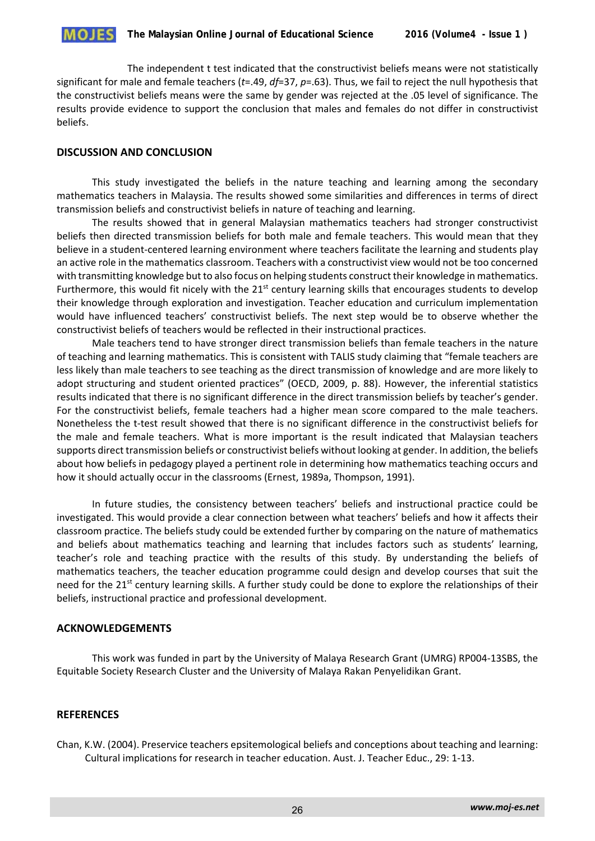

The independent t test indicated that the constructivist beliefs means were not statistically significant for male and female teachers (*t*=.49, *df*=37, *p*=.63). Thus, we fail to reject the null hypothesis that the constructivist beliefs means were the same by gender was rejected at the .05 level of significance. The results provide evidence to support the conclusion that males and females do not differ in constructivist beliefs.

# **DISCUSSION AND CONCLUSION**

This study investigated the beliefs in the nature teaching and learning among the secondary mathematics teachers in Malaysia. The results showed some similarities and differences in terms of direct transmission beliefs and constructivist beliefs in nature of teaching and learning.

The results showed that in general Malaysian mathematics teachers had stronger constructivist beliefs then directed transmission beliefs for both male and female teachers. This would mean that they believe in a student-centered learning environment where teachers facilitate the learning and students play an active role in the mathematics classroom. Teachers with a constructivist view would not be too concerned with transmitting knowledge but to also focus on helping students construct their knowledge in mathematics. Furthermore, this would fit nicely with the  $21<sup>st</sup>$  century learning skills that encourages students to develop their knowledge through exploration and investigation. Teacher education and curriculum implementation would have influenced teachers' constructivist beliefs. The next step would be to observe whether the constructivist beliefs of teachers would be reflected in their instructional practices.

Male teachers tend to have stronger direct transmission beliefs than female teachers in the nature of teaching and learning mathematics. This is consistent with TALIS study claiming that "female teachers are less likely than male teachers to see teaching as the direct transmission of knowledge and are more likely to adopt structuring and student oriented practices" (OECD, 2009, p. 88). However, the inferential statistics results indicated that there is no significant difference in the direct transmission beliefs by teacher's gender. For the constructivist beliefs, female teachers had a higher mean score compared to the male teachers. Nonetheless the t-test result showed that there is no significant difference in the constructivist beliefs for the male and female teachers. What is more important is the result indicated that Malaysian teachers supports direct transmission beliefs or constructivist beliefs without looking at gender. In addition, the beliefs about how beliefs in pedagogy played a pertinent role in determining how mathematics teaching occurs and how it should actually occur in the classrooms (Ernest, 1989a, Thompson, 1991).

In future studies, the consistency between teachers' beliefs and instructional practice could be investigated. This would provide a clear connection between what teachers' beliefs and how it affects their classroom practice. The beliefs study could be extended further by comparing on the nature of mathematics and beliefs about mathematics teaching and learning that includes factors such as students' learning, teacher's role and teaching practice with the results of this study. By understanding the beliefs of mathematics teachers, the teacher education programme could design and develop courses that suit the need for the 21<sup>st</sup> century learning skills. A further study could be done to explore the relationships of their beliefs, instructional practice and professional development.

# **ACKNOWLEDGEMENTS**

This work was funded in part by the University of Malaya Research Grant (UMRG) RP004-13SBS, the Equitable Society Research Cluster and the University of Malaya Rakan Penyelidikan Grant.

# **REFERENCES**

Chan, K.W. (2004). Preservice teachers epsitemological beliefs and conceptions about teaching and learning: Cultural implications for research in teacher education. Aust. J. Teacher Educ., 29: 1-13.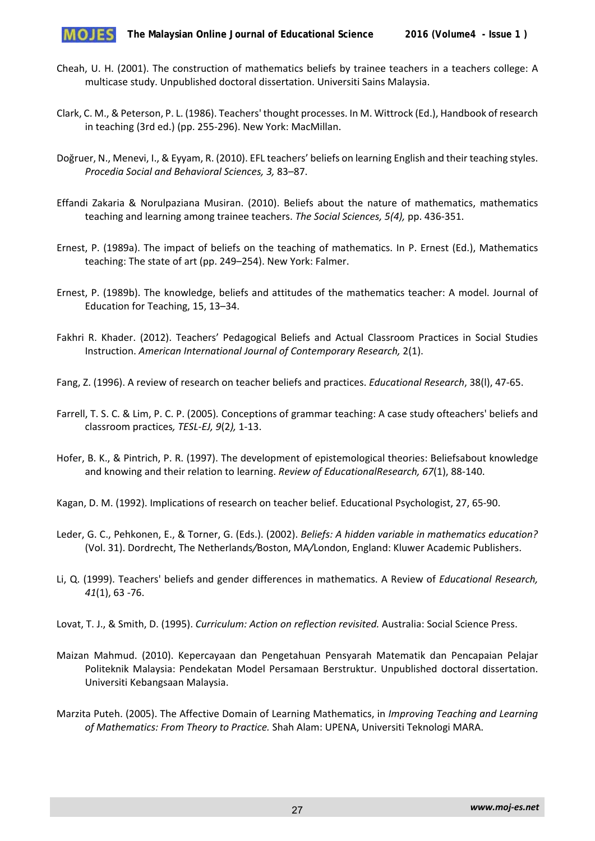

- Cheah, U. H. (2001). The construction of mathematics beliefs by trainee teachers in a teachers college: A multicase study. Unpublished doctoral dissertation. Universiti Sains Malaysia.
- Clark, C. M., & Peterson, P. L. (1986). Teachers' thought processes. In M. Wittrock (Ed.), Handbook of research in teaching (3rd ed.) (pp. 255-296). New York: MacMillan.
- Doğruer, N., Menevi, I., & Eyyam, R. (2010). EFL teachers' beliefs on learning English and their teaching styles. *Procedia Social and Behavioral Sciences, 3,* 83–87.
- Effandi Zakaria & Norulpaziana Musiran. (2010). Beliefs about the nature of mathematics, mathematics teaching and learning among trainee teachers. *The Social Sciences, 5(4),* pp. 436-351.
- Ernest, P. (1989a). The impact of beliefs on the teaching of mathematics. In P. Ernest (Ed.), Mathematics teaching: The state of art (pp. 249–254). New York: Falmer.
- Ernest, P. (1989b). The knowledge, beliefs and attitudes of the mathematics teacher: A model. Journal of Education for Teaching, 15, 13–34.
- Fakhri R. Khader. (2012). Teachers' Pedagogical Beliefs and Actual Classroom Practices in Social Studies Instruction. *American International Journal of Contemporary Research,* 2(1).
- Fang, Z. (1996). A review of research on teacher beliefs and practices. *Educational Research*, 38(l), 47-65.
- Farrell, T. S. C. & Lim, P. C. P. (2005)*.* Conceptions of grammar teaching: A case study ofteachers' beliefs and classroom practices*, TESL-EJ, 9*(2*),* 1-13.
- Hofer, B. K., & Pintrich, P. R. (1997). The development of epistemological theories: Beliefsabout knowledge and knowing and their relation to learning. *Review of EducationalResearch, 67*(1), 88-140.
- Kagan, D. M. (1992). Implications of research on teacher belief. Educational Psychologist, 27, 65-90.
- Leder, G. C., Pehkonen, E., & Torner, G. (Eds.). (2002). *Beliefs: A hidden variable in mathematics education?*  (Vol. 31). Dordrecht, The Netherlands*/*Boston, MA*/*London, England: Kluwer Academic Publishers.
- Li, Q. (1999). Teachers' beliefs and gender differences in mathematics. A Review of *Educational Research, 41*(1), 63 -76.
- Lovat, T. J., & Smith, D. (1995). *Curriculum: Action on reflection revisited.* Australia: Social Science Press.
- Maizan Mahmud. (2010). Kepercayaan dan Pengetahuan Pensyarah Matematik dan Pencapaian Pelajar Politeknik Malaysia: Pendekatan Model Persamaan Berstruktur. Unpublished doctoral dissertation. Universiti Kebangsaan Malaysia.
- Marzita Puteh. (2005). The Affective Domain of Learning Mathematics, in *Improving Teaching and Learning of Mathematics: From Theory to Practice.* Shah Alam: UPENA, Universiti Teknologi MARA.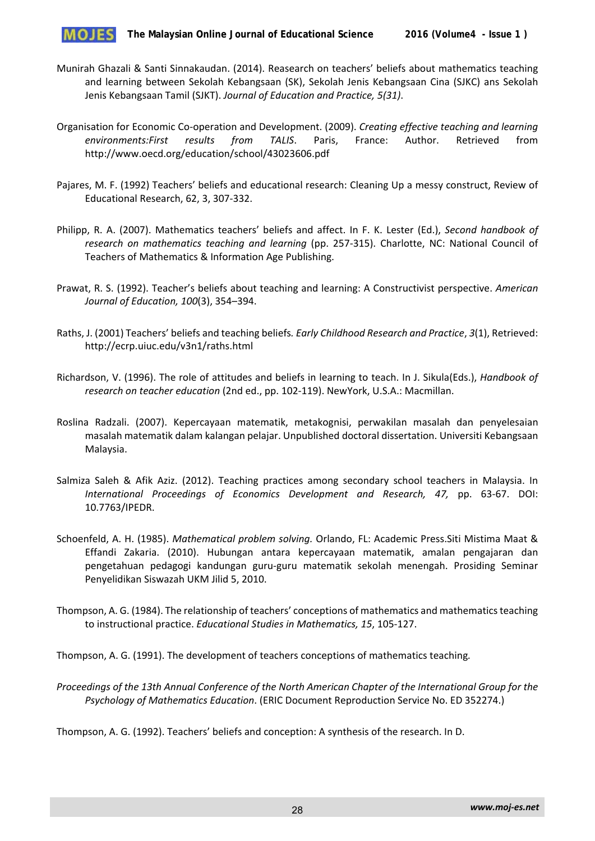

- Munirah Ghazali & Santi Sinnakaudan. (2014). Reasearch on teachers' beliefs about mathematics teaching and learning between Sekolah Kebangsaan (SK), Sekolah Jenis Kebangsaan Cina (SJKC) ans Sekolah Jenis Kebangsaan Tamil (SJKT). *Journal of Education and Practice, 5(31)*.
- Organisation for Economic Co-operation and Development. (2009). *Creating effective teaching and learning environments:First results from TALIS*. Paris, France: Author. Retrieved from http://www.oecd.org/education/school/43023606.pdf
- Pajares, M. F. (1992) Teachers' beliefs and educational research: Cleaning Up a messy construct, Review of Educational Research, 62, 3, 307-332.
- Philipp, R. A. (2007). Mathematics teachers' beliefs and affect. In F. K. Lester (Ed.), *Second handbook of research on mathematics teaching and learning* (pp. 257-315). Charlotte, NC: National Council of Teachers of Mathematics & Information Age Publishing.
- Prawat, R. S. (1992). Teacher's beliefs about teaching and learning: A Constructivist perspective. *American Journal of Education, 100*(3), 354–394.
- Raths, J. (2001) Teachers' beliefs and teaching beliefs*. Early Childhood Research and Practice*, *3*(1), Retrieved: http://ecrp.uiuc.edu/v3n1/raths.html
- Richardson, V. (1996). The role of attitudes and beliefs in learning to teach. In J. Sikula(Eds.), *Handbook of research on teacher education* (2nd ed., pp. 102-119). NewYork, U.S.A.: Macmillan.
- Roslina Radzali. (2007). Kepercayaan matematik, metakognisi, perwakilan masalah dan penyelesaian masalah matematik dalam kalangan pelajar. Unpublished doctoral dissertation. Universiti Kebangsaan Malaysia.
- Salmiza Saleh & Afik Aziz. (2012). Teaching practices among secondary school teachers in Malaysia. In *International Proceedings of Economics Development and Research, 47,* pp. 63-67. DOI: 10.7763/IPEDR.
- Schoenfeld, A. H. (1985). *Mathematical problem solving.* Orlando, FL: Academic Press.Siti Mistima Maat & Effandi Zakaria. (2010). Hubungan antara kepercayaan matematik, amalan pengajaran dan pengetahuan pedagogi kandungan guru-guru matematik sekolah menengah. Prosiding Seminar Penyelidikan Siswazah UKM Jilid 5, 2010.
- Thompson, A. G. (1984). The relationship of teachers' conceptions of mathematics and mathematics teaching to instructional practice. *Educational Studies in Mathematics, 15*, 105-127.

Thompson, A. G. (1991). The development of teachers conceptions of mathematics teaching*.* 

*Proceedings of the 13th Annual Conference of the North American Chapter of the International Group for the Psychology of Mathematics Education*. (ERIC Document Reproduction Service No. ED 352274.)

Thompson, A. G. (1992). Teachers' beliefs and conception: A synthesis of the research. In D.